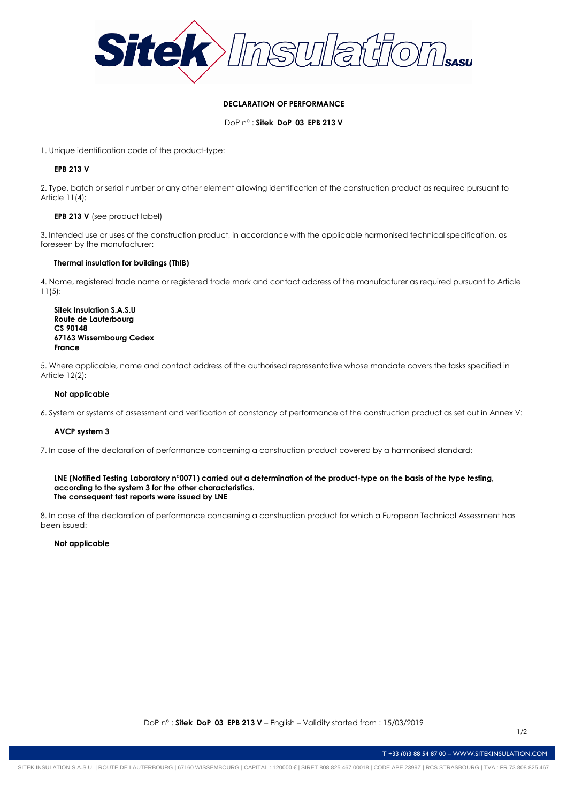

## **DECLARATION OF PERFORMANCE**

DoP n° : **Sitek\_DoP\_03\_EPB 213 V**

1. Unique identification code of the product-type:

# **EPB 213 V**

2. Type, batch or serial number or any other element allowing identification of the construction product as required pursuant to Article 11(4):

## **EPB 213 V** (see product label)

3. Intended use or uses of the construction product, in accordance with the applicable harmonised technical specification, as foreseen by the manufacturer:

#### **Thermal insulation for buildings (ThIB)**

4. Name, registered trade name or registered trade mark and contact address of the manufacturer as required pursuant to Article 11(5):

**Sitek Insulation S.A.S.U Route de Lauterbourg CS 90148 67163 Wissembourg Cedex France**

5. Where applicable, name and contact address of the authorised representative whose mandate covers the tasks specified in Article 12(2):

## **Not applicable**

6. System or systems of assessment and verification of constancy of performance of the construction product as set out in Annex V:

## **AVCP system 3**

7. In case of the declaration of performance concerning a construction product covered by a harmonised standard:

#### **LNE (Notified Testing Laboratory n°0071) carried out a determination of the product-type on the basis of the type testing, according to the system 3 for the other characteristics. The consequent test reports were issued by LNE**

8. In case of the declaration of performance concerning a construction product for which a European Technical Assessment has been issued:

#### **Not applicable**

T +33 (0)3 88 54 87 00 – WWW.SITEKINSULATION.COM